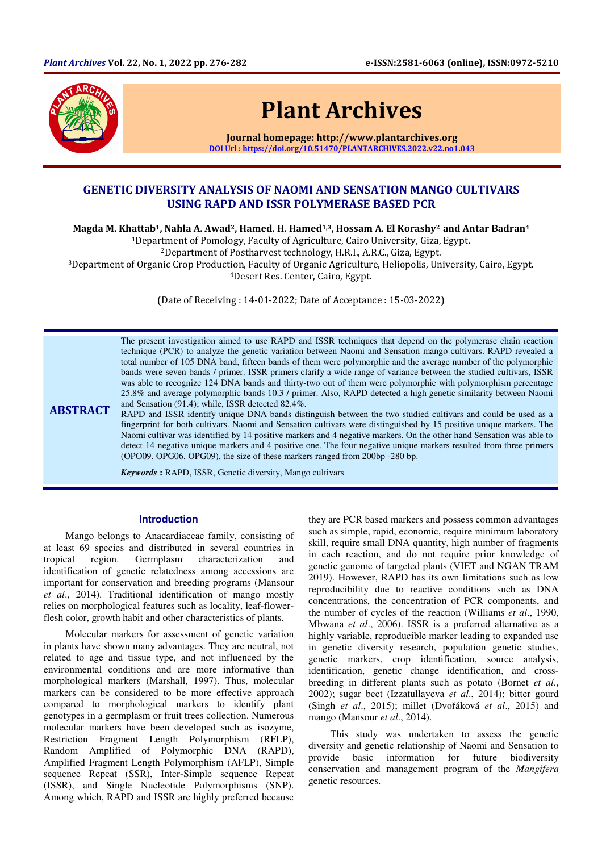

# Plant Archives

Journal homepage: http://www.plantarchives.org DOI Url : https://doi.org/10.51470/PLANTARCHIVES.2022.v22.no1.043

## GENETIC DIVERSITY ANALYSIS OF NAOMI AND SENSATION MANGO CULTIVARS USING RAPD AND ISSR POLYMERASE BASED PCR

Magda M. Khattab<sup>1</sup>, Nahla A. Awad<sup>2</sup>, Hamed. H. Hamed<sup>1,3</sup>, Hossam A. El Korashy<sup>2</sup> and Antar Badran<sup>4</sup>

<sup>1</sup>Department of Pomology, Faculty of Agriculture, Cairo University, Giza, Egypt.

<sup>2</sup>Department of Postharvest technology, H.R.I., A.R.C., Giza, Egypt.

<sup>3</sup>Department of Organic Crop Production, Faculty of Organic Agriculture, Heliopolis, University, Cairo, Egypt. <sup>4</sup>Desert Res. Center, Cairo, Egypt.

(Date of Receiving : 14-01-2022; Date of Acceptance : 15-03-2022)

The present investigation aimed to use RAPD and ISSR techniques that depend on the polymerase chain reaction technique (PCR) to analyze the genetic variation between Naomi and Sensation mango cultivars. RAPD revealed a total number of 105 DNA band, fifteen bands of them were polymorphic and the average number of the polymorphic bands were seven bands / primer. ISSR primers clarify a wide range of variance between the studied cultivars, ISSR was able to recognize 124 DNA bands and thirty-two out of them were polymorphic with polymorphism percentage 25.8% and average polymorphic bands 10.3 / primer. Also, RAPD detected a high genetic similarity between Naomi and Sensation (91.4); while, ISSR detected 82.4%.

**ABSTRACT** RAPD and ISSR identify unique DNA bands distinguish between the two studied cultivars and could be used as a fingerprint for both cultivars. Naomi and Sensation cultivars were distinguished by 15 positive unique markers. The Naomi cultivar was identified by 14 positive markers and 4 negative markers. On the other hand Sensation was able to detect 14 negative unique markers and 4 positive one. The four negative unique markers resulted from three primers (OPO09, OPG06, OPG09), the size of these markers ranged from 200bp -280 bp.

*Keywords* **:** RAPD, ISSR, Genetic diversity, Mango cultivars

#### **Introduction**

Mango belongs to Anacardiaceae family, consisting of at least 69 species and distributed in several countries in tropical region. Germplasm characterization and identification of genetic relatedness among accessions are important for conservation and breeding programs (Mansour *et al*., 2014). Traditional identification of mango mostly relies on morphological features such as locality, leaf-flowerflesh color, growth habit and other characteristics of plants.

Molecular markers for assessment of genetic variation in plants have shown many advantages. They are neutral, not related to age and tissue type, and not influenced by the environmental conditions and are more informative than morphological markers (Marshall, 1997). Thus, molecular markers can be considered to be more effective approach compared to morphological markers to identify plant genotypes in a germplasm or fruit trees collection. Numerous molecular markers have been developed such as isozyme, Restriction Fragment Length Polymorphism (RFLP), Random Amplified of Polymorphic DNA (RAPD), Amplified Fragment Length Polymorphism (AFLP), Simple sequence Repeat (SSR), Inter-Simple sequence Repeat (ISSR), and Single Nucleotide Polymorphisms (SNP). Among which, RAPD and ISSR are highly preferred because

they are PCR based markers and possess common advantages such as simple, rapid, economic, require minimum laboratory skill, require small DNA quantity, high number of fragments in each reaction, and do not require prior knowledge of genetic genome of targeted plants (VIET and NGAN TRAM 2019). However, RAPD has its own limitations such as low reproducibility due to reactive conditions such as DNA concentrations, the concentration of PCR components, and the number of cycles of the reaction (Williams *et al*., 1990, Mbwana *et al*., 2006). ISSR is a preferred alternative as a highly variable, reproducible marker leading to expanded use in genetic diversity research, population genetic studies, genetic markers, crop identification, source analysis, identification, genetic change identification, and crossbreeding in different plants such as potato (Bornet *et al*., 2002); sugar beet (Izzatullayeva *et al*., 2014); bitter gourd (Singh *et al*., 2015); millet (Dvořáková *et al*., 2015) and mango (Mansour *et al*., 2014).

This study was undertaken to assess the genetic diversity and genetic relationship of Naomi and Sensation to provide basic information for future biodiversity conservation and management program of the *Mangifera* genetic resources.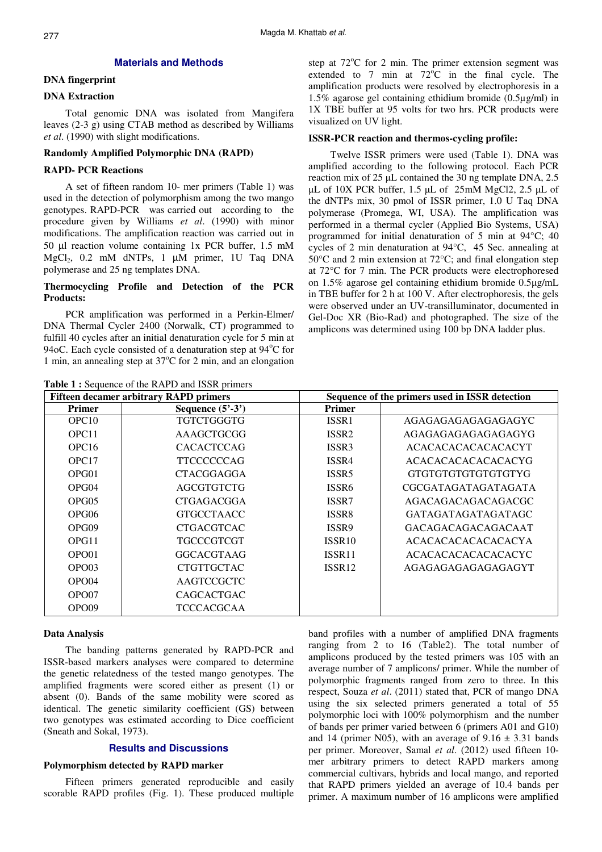#### **Materials and Methods**

## **DNA fingerprint**

## **DNA Extraction**

Total genomic DNA was isolated from Mangifera leaves (2-3 g) using CTAB method as described by Williams *et al*. (1990) with slight modifications.

#### **Randomly Amplified Polymorphic DNA (RAPD)**

## **RAPD- PCR Reactions**

A set of fifteen random 10- mer primers (Table 1) was used in the detection of polymorphism among the two mango genotypes. RAPD-PCR was carried out according to the procedure given by Williams *et al*. (1990) with minor modifications. The amplification reaction was carried out in 50 µl reaction volume containing 1x PCR buffer, 1.5 mM  $MgCl<sub>2</sub>$ , 0.2 mM dNTPs, 1 µM primer, 1U Taq DNA polymerase and 25 ng templates DNA.

## **Thermocycling Profile and Detection of the PCR Products:**

PCR amplification was performed in a Perkin-Elmer/ DNA Thermal Cycler 2400 (Norwalk, CT) programmed to fulfill 40 cycles after an initial denaturation cycle for 5 min at 94 $\sigma$ C. Each cycle consisted of a denaturation step at 94 $\rm{°C}$  for 1 min, an annealing step at  $37^{\circ}$ C for 2 min, and an elongation

Table 1 : Sequence of the RAPD and ISSR primers

step at  $72^{\circ}$ C for 2 min. The primer extension segment was extended to 7 min at  $72^{\circ}$ C in the final cycle. The amplification products were resolved by electrophoresis in a 1.5% agarose gel containing ethidium bromide (0.5µg/ml) in 1X TBE buffer at 95 volts for two hrs. PCR products were visualized on UV light.

## **ISSR-PCR reaction and thermos-cycling profile:**

Twelve ISSR primers were used (Table 1). DNA was amplified according to the following protocol. Each PCR reaction mix of 25 µL contained the 30 ng template DNA, 2.5  $\mu$ L of 10X PCR buffer, 1.5  $\mu$ L of 25mM MgCl2, 2.5  $\mu$ L of the dNTPs mix, 30 pmol of ISSR primer, 1.0 U Taq DNA polymerase (Promega, WI, USA). The amplification was performed in a thermal cycler (Applied Bio Systems, USA) programmed for initial denaturation of 5 min at 94°C; 40 cycles of 2 min denaturation at 94°C, 45 Sec. annealing at 50°C and 2 min extension at 72°C; and final elongation step at 72°C for 7 min. The PCR products were electrophoresed on 1.5% agarose gel containing ethidium bromide 0.5µg/mL in TBE buffer for 2 h at 100 V. After electrophoresis, the gels were observed under an UV-transilluminator, documented in Gel-Doc XR (Bio-Rad) and photographed. The size of the amplicons was determined using 100 bp DNA ladder plus.

|                   | <b>THE T FOUNDATION</b> OF THE IN IT D THIS ISSIN PLINING<br><b>Fifteen decamer arbitrary RAPD primers</b> | Sequence of the primers used in ISSR detection |                            |  |
|-------------------|------------------------------------------------------------------------------------------------------------|------------------------------------------------|----------------------------|--|
| <b>Primer</b>     | Sequence $(5^3-3^3)$                                                                                       | <b>Primer</b>                                  |                            |  |
| OPC <sub>10</sub> | TGTCTGGGTG                                                                                                 | ISSR1                                          | AGAGAGAGAGAGAGAGYC         |  |
| OPC <sub>11</sub> | AAAGCTGCGG                                                                                                 | ISSR <sub>2</sub>                              | AGAGAGAGAGAGAGAGYG         |  |
| OPC <sub>16</sub> | <b>CACACTCCAG</b>                                                                                          | ISSR <sub>3</sub>                              | <b>ACACACACACACACACYT</b>  |  |
| OPC <sub>17</sub> | <b>TTCCCCCCAG</b>                                                                                          | ISSR4                                          | ACACACACACACACACYG         |  |
| OPG01             | <b>CTACGGAGGA</b>                                                                                          | ISSR <sub>5</sub>                              | <b>GTGTGTGTGTGTGTGTYG</b>  |  |
| OPG04             | <b>AGCGTGTCTG</b>                                                                                          | ISSR <sub>6</sub>                              | <b>CGCGATAGATAGATAGATA</b> |  |
| OPG05             | <b>CTGAGACGGA</b>                                                                                          | ISSR7                                          | AGACAGACAGACAGACGC         |  |
| OPG06             | <b>GTGCCTAACC</b>                                                                                          | ISSR8                                          | GATAGATAGATAGATAGC         |  |
| OPG09             | <b>CTGACGTCAC</b>                                                                                          | ISSR9                                          | <b>GACAGACAGACAGACAAT</b>  |  |
| OPG11             | TGCCCGTCGT                                                                                                 | ISSR <sub>10</sub>                             | <b>ACACACACACACACACYA</b>  |  |
| OPO01             | GGCACGTAAG                                                                                                 | ISSR11                                         | ACACACACACACACACYC         |  |
| OPO03             | <b>CTGTTGCTAC</b>                                                                                          | ISSR <sub>12</sub>                             | AGAGAGAGAGAGAGAGYT         |  |
| OPO04             | AAGTCCGCTC                                                                                                 |                                                |                            |  |
| OPO07             | <b>CAGCACTGAC</b>                                                                                          |                                                |                            |  |
| OPO09             | TCCCACGCAA                                                                                                 |                                                |                            |  |

#### **Data Analysis**

The banding patterns generated by RAPD-PCR and ISSR-based markers analyses were compared to determine the genetic relatedness of the tested mango genotypes. The amplified fragments were scored either as present (1) or absent (0). Bands of the same mobility were scored as identical. The genetic similarity coefficient (GS) between two genotypes was estimated according to Dice coefficient (Sneath and Sokal, 1973).

## **Results and Discussions**

## **Polymorphism detected by RAPD marker**

Fifteen primers generated reproducible and easily scorable RAPD profiles (Fig. 1). These produced multiple band profiles with a number of amplified DNA fragments ranging from 2 to 16 (Table2). The total number of amplicons produced by the tested primers was 105 with an average number of 7 amplicons/ primer. While the number of polymorphic fragments ranged from zero to three. In this respect, Souza *et al*. (2011) stated that, PCR of mango DNA using the six selected primers generated a total of 55 polymorphic loci with 100% polymorphism and the number of bands per primer varied between 6 (primers A01 and G10) and 14 (primer N05), with an average of  $9.16 \pm 3.31$  bands per primer. Moreover, Samal *et al*. (2012) used fifteen 10 mer arbitrary primers to detect RAPD markers among commercial cultivars, hybrids and local mango, and reported that RAPD primers yielded an average of 10.4 bands per primer. A maximum number of 16 amplicons were amplified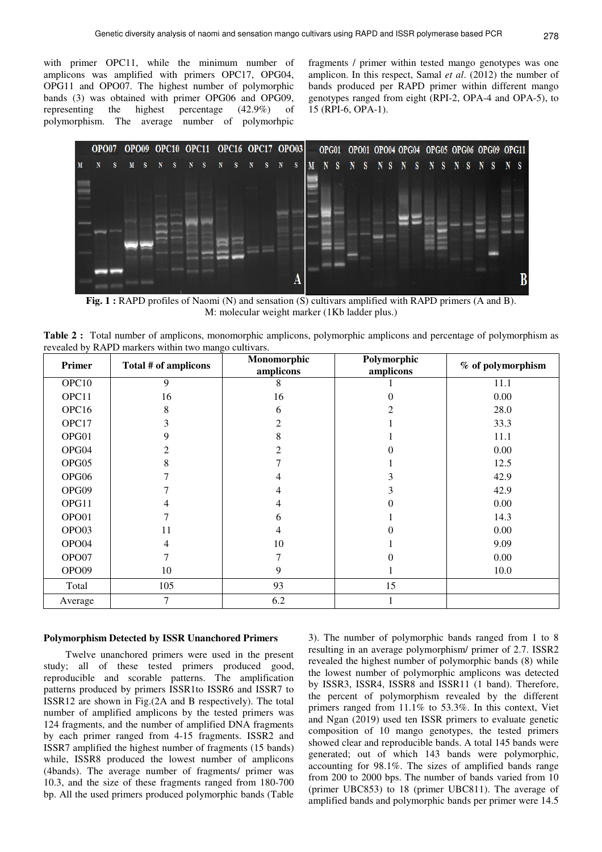with primer OPC11, while the minimum number of amplicons was amplified with primers OPC17, OPG04, OPG11 and OPO07. The highest number of polymorphic bands (3) was obtained with primer OPG06 and OPG09, representing the highest percentage (42.9%) of polymorphism. The average number of polymorhpic

fragments / primer within tested mango genotypes was one amplicon. In this respect, Samal *et al*. (2012) the number of bands produced per RAPD primer within different mango genotypes ranged from eight (RPI-2, OPA-4 and OPA-5), to 15 (RPI-6, OPA-1).



**Fig. 1 :** RAPD profiles of Naomi (N) and sensation (S) cultivars amplified with RAPD primers (A and B). M: molecular weight marker (1Kb ladder plus.)

**Table 2 :** Total number of amplicons, monomorphic amplicons, polymorphic amplicons and percentage of polymorphism as revealed by RAPD markers within two mango cultivars.

| Primer            | Total # of amplicons | Monomorphic<br>amplicons | Polymorphic<br>amplicons |      |
|-------------------|----------------------|--------------------------|--------------------------|------|
| OPC <sub>10</sub> | 9                    | 8                        |                          | 11.1 |
| OPC11             | 16                   | 16                       | 0                        | 0.00 |
| OPC16             | 8                    | 6                        | $\mathfrak{D}$           | 28.0 |
| OPC17             | 3                    | 2                        |                          | 33.3 |
| OPG01             | 9                    | 8                        |                          | 11.1 |
| OPG04             | 2                    | 2                        | 0                        | 0.00 |
| OPG05             | 8                    |                          |                          | 12.5 |
| OPG06             |                      | 4                        | Ĵ,                       | 42.9 |
| OPG09             |                      | 4                        | 3                        | 42.9 |
| OPG11             |                      | 4                        | 0                        | 0.00 |
| OPO01             |                      | 6                        |                          | 14.3 |
| OPO03             | 11                   | 4                        | 0                        | 0.00 |
| OPO04             | 4                    | 10                       |                          | 9.09 |
| OPO07             |                      | 7                        | 0                        | 0.00 |
| OPO09             | 10                   | 9                        |                          | 10.0 |
| Total             | 105                  | 93                       | 15                       |      |
| Average           | 7                    | 6.2                      |                          |      |

## **Polymorphism Detected by ISSR Unanchored Primers**

Twelve unanchored primers were used in the present study; all of these tested primers produced good, reproducible and scorable patterns. The amplification patterns produced by primers ISSR1to ISSR6 and ISSR7 to ISSR12 are shown in Fig.(2A and B respectively). The total number of amplified amplicons by the tested primers was 124 fragments, and the number of amplified DNA fragments by each primer ranged from 4-15 fragments. ISSR2 and ISSR7 amplified the highest number of fragments (15 bands) while, ISSR8 produced the lowest number of amplicons (4bands). The average number of fragments/ primer was 10.3, and the size of these fragments ranged from 180-700 bp. All the used primers produced polymorphic bands (Table

3). The number of polymorphic bands ranged from 1 to 8 resulting in an average polymorphism/ primer of 2.7. ISSR2 revealed the highest number of polymorphic bands (8) while the lowest number of polymorphic amplicons was detected by ISSR3, ISSR4, ISSR8 and ISSR11 (1 band). Therefore, the percent of polymorphism revealed by the different primers ranged from 11.1% to 53.3%. In this context, Viet and Ngan (2019) used ten ISSR primers to evaluate genetic composition of 10 mango genotypes, the tested primers showed clear and reproducible bands. A total 145 bands were generated; out of which 143 bands were polymorphic, accounting for 98.1%. The sizes of amplified bands range from 200 to 2000 bps. The number of bands varied from 10 (primer UBC853) to 18 (primer UBC811). The average of amplified bands and polymorphic bands per primer were 14.5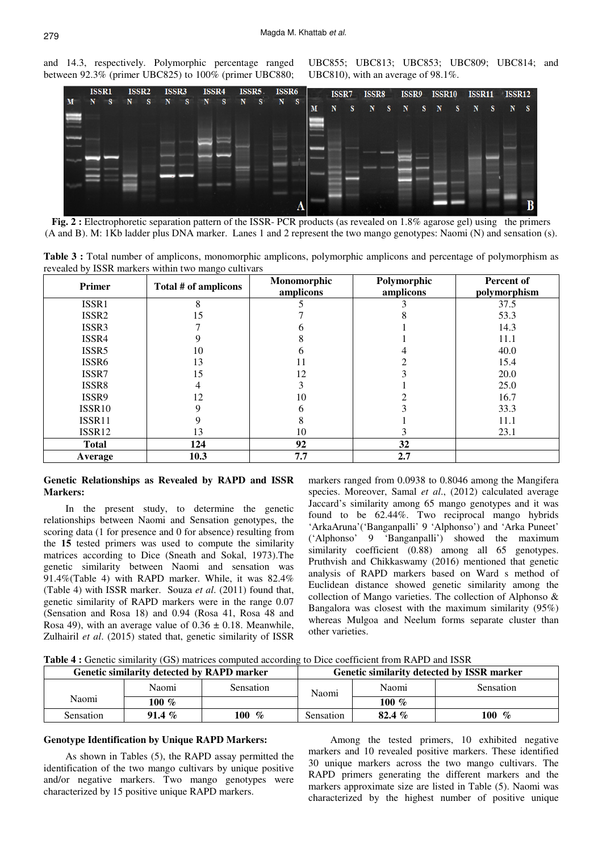and 14.3, respectively. Polymorphic percentage ranged between 92.3% (primer UBC825) to 100% (primer UBC880; UBC855; UBC813; UBC853; UBC809; UBC814; and UBC810), with an average of 98.1%.



**Fig. 2 :** Electrophoretic separation pattern of the ISSR- PCR products (as revealed on 1.8% agarose gel) using the primers (A and B). M: 1Kb ladder plus DNA marker. Lanes 1 and 2 represent the two mango genotypes: Naomi (N) and sensation (s).

**Table 3 :** Total number of amplicons, monomorphic amplicons, polymorphic amplicons and percentage of polymorphism as revealed by ISSR markers within two mango cultivars

| Primer             | Total # of amplicons |     | Polymorphic<br>amplicons | Percent of<br>polymorphism |  |
|--------------------|----------------------|-----|--------------------------|----------------------------|--|
| ISSR1              | 8                    |     |                          | 37.5                       |  |
| ISSR <sub>2</sub>  | 15                   |     |                          | 53.3                       |  |
| ISSR3              |                      |     |                          | 14.3                       |  |
| ISSR4              | 9                    |     |                          | 11.1                       |  |
| ISSR5              | 10                   |     |                          | 40.0                       |  |
| ISSR <sub>6</sub>  | 13                   |     |                          | 15.4                       |  |
| ISSR7              | 15                   | 12  |                          | 20.0                       |  |
| ISSR8              | 4                    |     |                          | 25.0                       |  |
| ISSR9              | 12                   | 10  |                          | 16.7                       |  |
| ISSR <sub>10</sub> | Q                    | h   |                          | 33.3                       |  |
| ISSR11             |                      | 8   |                          | 11.1                       |  |
| ISSR12             | 13                   | 10  | K                        | 23.1                       |  |
| <b>Total</b>       | 124                  | 92  | 32                       |                            |  |
| Average            | 10.3                 | 7.7 | 2.7                      |                            |  |

## **Genetic Relationships as Revealed by RAPD and ISSR Markers:**

In the present study, to determine the genetic relationships between Naomi and Sensation genotypes, the scoring data (1 for presence and 0 for absence) resulting from the 15 tested primers was used to compute the similarity matrices according to Dice (Sneath and Sokal, 1973).The genetic similarity between Naomi and sensation was 91.4%(Table 4) with RAPD marker. While, it was 82.4% (Table 4) with ISSR marker. Souza *et al*. (2011) found that, genetic similarity of RAPD markers were in the range 0.07 (Sensation and Rosa 18) and 0.94 (Rosa 41, Rosa 48 and Rosa 49), with an average value of  $0.36 \pm 0.18$ . Meanwhile, Zulhairil *et al*. (2015) stated that, genetic similarity of ISSR

markers ranged from 0.0938 to 0.8046 among the Mangifera species. Moreover, Samal *et al*., (2012) calculated average Jaccard's similarity among 65 mango genotypes and it was found to be 62.44%. Two reciprocal mango hybrids 'ArkaAruna'('Banganpalli' 9 'Alphonso') and 'Arka Puneet' ('Alphonso' 9 'Banganpalli') showed the maximum similarity coefficient (0.88) among all 65 genotypes. Pruthvish and Chikkaswamy (2016) mentioned that genetic analysis of RAPD markers based on Ward s method of Euclidean distance showed genetic similarity among the collection of Mango varieties. The collection of Alphonso & Bangalora was closest with the maximum similarity (95%) whereas Mulgoa and Neelum forms separate cluster than other varieties.

Table 4 : Genetic similarity (GS) matrices computed according to Dice coefficient from RAPD and ISSR

| Genetic similarity detected by RAPD marker |          |             | Genetic similarity detected by ISSR marker |          |                    |
|--------------------------------------------|----------|-------------|--------------------------------------------|----------|--------------------|
|                                            | Naomi    | Sensation   | Naomi                                      | Naomi    | <b>Sensation</b>   |
| Naomi                                      | 100 $\%$ |             |                                            | 100 $%$  |                    |
| <b>Sensation</b>                           | 91.4 $%$ | 100<br>$\%$ | Sensation                                  | 82.4 $%$ | <b>100</b><br>$\%$ |

## **Genotype Identification by Unique RAPD Markers:**

As shown in Tables (5), the RAPD assay permitted the identification of the two mango cultivars by unique positive and/or negative markers. Two mango genotypes were characterized by 15 positive unique RAPD markers.

Among the tested primers, 10 exhibited negative markers and 10 revealed positive markers. These identified 30 unique markers across the two mango cultivars. The RAPD primers generating the different markers and the markers approximate size are listed in Table (5). Naomi was characterized by the highest number of positive unique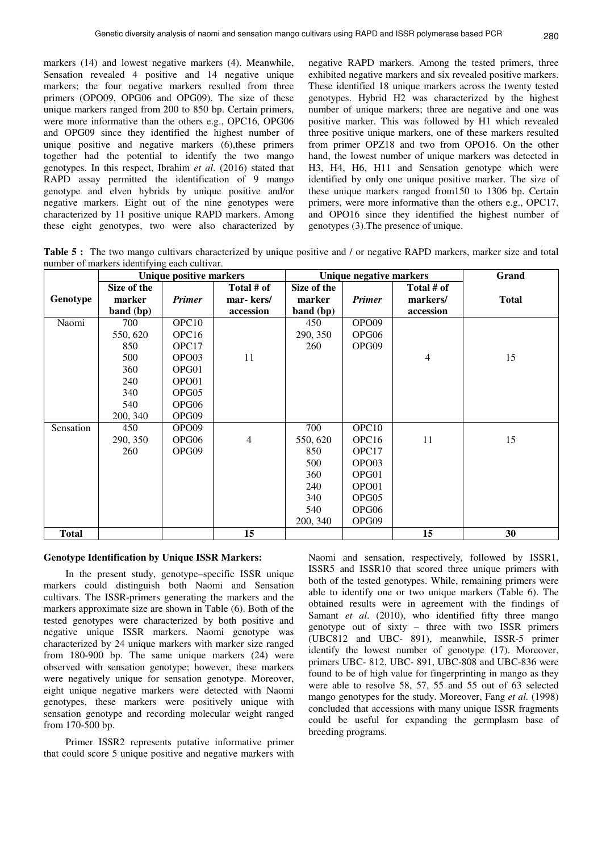markers (14) and lowest negative markers (4). Meanwhile, Sensation revealed 4 positive and 14 negative unique markers; the four negative markers resulted from three primers (OPO09, OPG06 and OPG09). The size of these unique markers ranged from 200 to 850 bp. Certain primers, were more informative than the others e.g., OPC16, OPG06 and OPG09 since they identified the highest number of unique positive and negative markers (6),these primers together had the potential to identify the two mango genotypes. In this respect, Ibrahim *et al*. (2016) stated that RAPD assay permitted the identification of 9 mango genotype and elven hybrids by unique positive and/or negative markers. Eight out of the nine genotypes were characterized by 11 positive unique RAPD markers. Among these eight genotypes, two were also characterized by

negative RAPD markers. Among the tested primers, three exhibited negative markers and six revealed positive markers. These identified 18 unique markers across the twenty tested genotypes. Hybrid H2 was characterized by the highest number of unique markers; three are negative and one was positive marker. This was followed by H1 which revealed three positive unique markers, one of these markers resulted from primer OPZ18 and two from OPO16. On the other hand, the lowest number of unique markers was detected in H3, H4, H6, H11 and Sensation genotype which were identified by only one unique positive marker. The size of these unique markers ranged from150 to 1306 bp. Certain primers, were more informative than the others e.g., OPC17, and OPO16 since they identified the highest number of genotypes (3).The presence of unique.

**Table 5 :** The two mango cultivars characterized by unique positive and / or negative RAPD markers, marker size and total number of markers identifying each cultivar.

|              | <b>Unique positive markers</b> |                   |                | Unique negative markers |                   |                | Grand        |
|--------------|--------------------------------|-------------------|----------------|-------------------------|-------------------|----------------|--------------|
|              | Size of the                    |                   | Total # of     | Size of the             |                   | Total # of     |              |
| Genotype     | marker                         | <b>Primer</b>     | mar-kers/      | marker                  | <b>Primer</b>     | markers/       | <b>Total</b> |
|              | band (bp)                      |                   | accession      | band (bp)               |                   | accession      |              |
| Naomi        | 700                            | OPC <sub>10</sub> |                | 450                     | OPO09             |                |              |
|              | 550, 620                       | OPC <sub>16</sub> |                | 290, 350                | OPG06             |                |              |
|              | 850                            | OPC17             |                | <b>260</b>              | OPG09             |                |              |
|              | 500                            | OPO03             | 11             |                         |                   | $\overline{4}$ | 15           |
|              | 360                            | OPG01             |                |                         |                   |                |              |
|              | 240                            | OPO01             |                |                         |                   |                |              |
|              | 340                            | OPG05             |                |                         |                   |                |              |
|              | 540                            | OPG06             |                |                         |                   |                |              |
|              | 200, 340                       | OPG09             |                |                         |                   |                |              |
| Sensation    | 450                            | OPO09             |                | 700                     | OPC <sub>10</sub> |                |              |
|              | 290, 350                       | OPG06             | $\overline{4}$ | 550, 620                | OPC <sub>16</sub> | 11             | 15           |
|              | 260                            | OPG09             |                | 850                     | OPC17             |                |              |
|              |                                |                   |                | 500                     | OPO03             |                |              |
|              |                                |                   |                | 360                     | OPG01             |                |              |
|              |                                |                   |                | 240                     | OPO01             |                |              |
|              |                                |                   |                | 340                     | OPG05             |                |              |
|              |                                |                   |                | 540                     | OPG06             |                |              |
|              |                                |                   |                | 200, 340                | OPG09             |                |              |
| <b>Total</b> |                                |                   | 15             |                         |                   | 15             | 30           |

## **Genotype Identification by Unique ISSR Markers:**

In the present study, genotype–specific ISSR unique markers could distinguish both Naomi and Sensation cultivars. The ISSR-primers generating the markers and the markers approximate size are shown in Table (6). Both of the tested genotypes were characterized by both positive and negative unique ISSR markers. Naomi genotype was characterized by 24 unique markers with marker size ranged from 180-900 bp. The same unique markers (24) were observed with sensation genotype; however, these markers were negatively unique for sensation genotype. Moreover, eight unique negative markers were detected with Naomi genotypes, these markers were positively unique with sensation genotype and recording molecular weight ranged from 170-500 bp.

Primer ISSR2 represents putative informative primer that could score 5 unique positive and negative markers with

Naomi and sensation, respectively, followed by ISSR1, ISSR5 and ISSR10 that scored three unique primers with both of the tested genotypes. While, remaining primers were able to identify one or two unique markers (Table 6). The obtained results were in agreement with the findings of Samant *et al.* (2010), who identified fifty three mango genotype out of sixty – three with two ISSR primers (UBC812 and UBC- 891), meanwhile, ISSR-5 primer identify the lowest number of genotype (17). Moreover, primers UBC- 812, UBC- 891, UBC-808 and UBC-836 were found to be of high value for fingerprinting in mango as they were able to resolve 58, 57, 55 and 55 out of 63 selected mango genotypes for the study. Moreover, Fang *et al.* (1998) concluded that accessions with many unique ISSR fragments could be useful for expanding the germplasm base of breeding programs.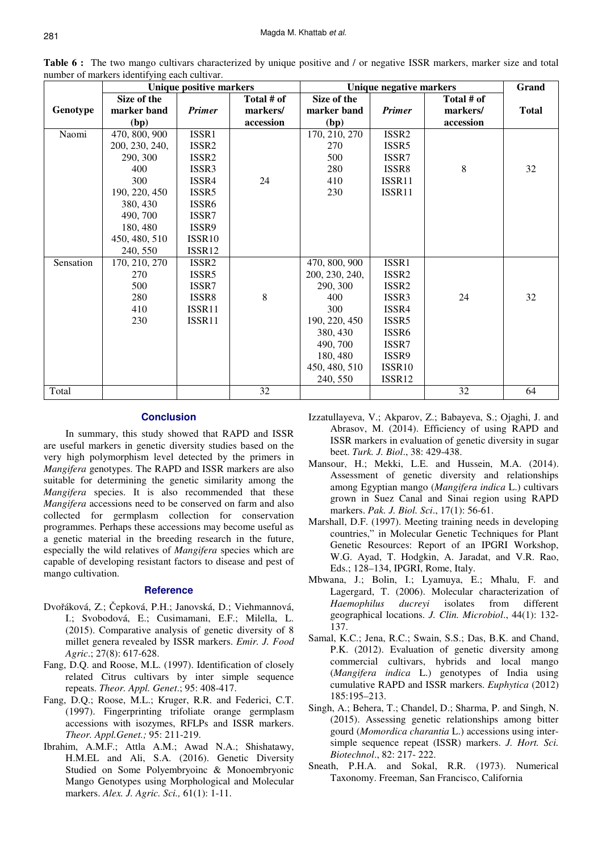|           | <b>Unique positive markers</b> |                    |            | Unique negative markers | Grand              |            |              |
|-----------|--------------------------------|--------------------|------------|-------------------------|--------------------|------------|--------------|
|           | Size of the                    |                    | Total # of | Size of the             |                    | Total # of |              |
| Genotype  | marker band                    | <b>Primer</b>      | markers/   | marker band             | <b>Primer</b>      | markers/   | <b>Total</b> |
|           | (bp)                           |                    | accession  | (bp)                    |                    | accession  |              |
| Naomi     | 470, 800, 900                  | ISSR1              |            | 170, 210, 270           | ISSR2              |            |              |
|           | 200, 230, 240,                 | ISSR <sub>2</sub>  |            | 270                     | ISSR5              |            |              |
|           | 290, 300                       | ISSR <sub>2</sub>  |            | 500                     | ISSR7              |            |              |
|           | 400                            | ISSR <sub>3</sub>  |            | 280                     | ISSR8              | 8          | 32           |
|           | 300                            | ISSR4              | 24         | 410                     | ISSR11             |            |              |
|           | 190, 220, 450                  | ISSR5              |            | 230                     | ISSR11             |            |              |
|           | 380, 430                       | ISSR <sub>6</sub>  |            |                         |                    |            |              |
|           | 490, 700                       | ISSR7              |            |                         |                    |            |              |
|           | 180, 480                       | ISSR9              |            |                         |                    |            |              |
|           | 450, 480, 510                  | ISSR <sub>10</sub> |            |                         |                    |            |              |
|           | 240, 550                       | ISSR12             |            |                         |                    |            |              |
| Sensation | 170, 210, 270                  | ISSR <sub>2</sub>  |            | 470, 800, 900           | ISSR1              |            |              |
|           | 270                            | ISSR5              |            | 200, 230, 240,          | ISSR <sub>2</sub>  |            |              |
|           | 500                            | ISSR7              |            | 290, 300                | ISSR <sub>2</sub>  |            |              |
|           | 280                            | ISSR8              | $8\,$      | 400                     | ISSR <sub>3</sub>  | 24         | 32           |
|           | 410                            | ISSR11             |            | 300                     | ISSR4              |            |              |
|           | 230                            | ISSR11             |            | 190, 220, 450           | ISSR <sub>5</sub>  |            |              |
|           |                                |                    |            | 380, 430                | ISSR <sub>6</sub>  |            |              |
|           |                                |                    |            | 490, 700                | ISSR7              |            |              |
|           |                                |                    |            | 180, 480                | ISSR9              |            |              |
|           |                                |                    |            | 450, 480, 510           | ISSR <sub>10</sub> |            |              |
|           |                                |                    |            | 240, 550                | ISSR12             |            |              |
| Total     |                                |                    | 32         |                         |                    | 32         | 64           |

**Table 6 :** The two mango cultivars characterized by unique positive and / or negative ISSR markers, marker size and total number of markers identifying each cultivar.

## **Conclusion**

In summary, this study showed that RAPD and ISSR are useful markers in genetic diversity studies based on the very high polymorphism level detected by the primers in *Mangifera* genotypes. The RAPD and ISSR markers are also suitable for determining the genetic similarity among the *Mangifera* species. It is also recommended that these *Mangifera* accessions need to be conserved on farm and also collected for germplasm collection for conservation programmes. Perhaps these accessions may become useful as a genetic material in the breeding research in the future, especially the wild relatives of *Mangifera* species which are capable of developing resistant factors to disease and pest of mango cultivation.

## **Reference**

- Dvořáková, Z.; Čepková, P.H.; Janovská, D.; Viehmannová, I.; Svobodová, E.; Cusimamani, E.F.; Milella, L. (2015). Comparative analysis of genetic diversity of 8 millet genera revealed by ISSR markers. *Emir. J. Food Agric*.; 27(8): 617-628.
- Fang, D.Q. and Roose, M.L. (1997). Identification of closely related Citrus cultivars by inter simple sequence repeats. *Theor. Appl. Genet*.; 95: 408-417.
- Fang, D.Q.; Roose, M.L.; Kruger, R.R. and Federici, C.T. (1997). Fingerprinting trifoliate orange germplasm accessions with isozymes, RFLPs and ISSR markers. *Theor. Appl.Genet.;* 95: 211-219.
- Ibrahim, A.M.F.; Attla A.M.; Awad N.A.; Shishatawy, H.M.EL and Ali, S.A. (2016). Genetic Diversity Studied on Some Polyembryoinc & Monoembryonic Mango Genotypes using Morphological and Molecular markers. *Alex. J. Agric. Sci.,* 61(1): 1-11.
- Izzatullayeva, V.; Akparov, Z.; Babayeva, S.; Ojaghi, J. and Abrasov, M. (2014). Efficiency of using RAPD and ISSR markers in evaluation of genetic diversity in sugar beet. *Turk. J. Biol*., 38: 429-438.
- Mansour, H.; Mekki, L.E. and Hussein, M.A. (2014). Assessment of genetic diversity and relationships among Egyptian mango (*Mangifera indica* L.) cultivars grown in Suez Canal and Sinai region using RAPD markers. *Pak. J. Biol. Sci*., 17(1): 56-61.
- Marshall, D.F. (1997). Meeting training needs in developing countries," in Molecular Genetic Techniques for Plant Genetic Resources: Report of an IPGRI Workshop, W.G. Ayad, T. Hodgkin, A. Jaradat, and V.R. Rao, Eds.; 128–134, IPGRI, Rome, Italy.
- Mbwana, J.; Bolin, I.; Lyamuya, E.; Mhalu, F. and Lagergard, T. (2006). Molecular characterization of *Haemophilus ducreyi* isolates from different geographical locations. *J. Clin. Microbiol*., 44(1): 132- 137.
- Samal, K.C.; Jena, R.C.; Swain, S.S.; Das, B.K. and Chand, P.K. (2012). Evaluation of genetic diversity among commercial cultivars, hybrids and local mango (*Mangifera indica* L.) genotypes of India using cumulative RAPD and ISSR markers. *Euphytica* (2012) 185:195–213.
- Singh, A.; Behera, T.; Chandel, D.; Sharma, P. and Singh, N. (2015). Assessing genetic relationships among bitter gourd (*Momordica charantia* L.) accessions using intersimple sequence repeat (ISSR) markers. *J. Hort. Sci. Biotechnol*., 82: 217- 222.
- Sneath, P.H.A. and Sokal, R.R. (1973). Numerical Taxonomy. Freeman, San Francisco, California